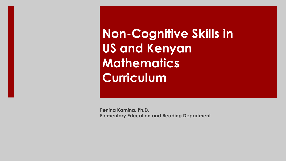**Non-Cognitive Skills in US and Kenyan Mathematics Curriculum**

**Penina Kamina, Ph.D. Elementary Education and Reading Department**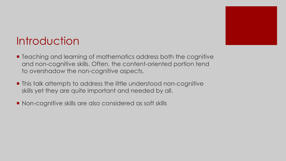

### **Introduction**

- Teaching and learning of mathematics address both the cognitive and non-cognitive skills. Often, the content-oriented portion tend to overshadow the non-cognitive aspects.
- **This talk attempts to address the little understood non-cognitive** skills yet they are quite important and needed by all.
- Non-cognitive skills are also considered as soft skills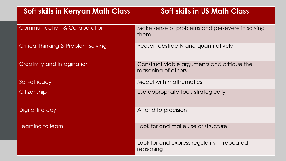| <b>Soft skills in Kenyan Math Class</b>  | <b>Soft skills in US Math Class</b>                                |
|------------------------------------------|--------------------------------------------------------------------|
| <b>Communication &amp; Collaboration</b> | Make sense of problems and persevere in solving<br>them            |
| Critical thinking & Problem solving      | Reason abstractly and quantitatively                               |
| <b>Creativity and Imagination</b>        | Construct viable arguments and critique the<br>reasoning of others |
| Self-efficacy                            | Model with mathematics                                             |
| Citizenship                              | Use appropriate tools strategically                                |
| Digital literacy                         | Attend to precision                                                |
| Learning to learn                        | Look for and make use of structure                                 |
|                                          | Look for and express regularity in repeated<br>reasoning           |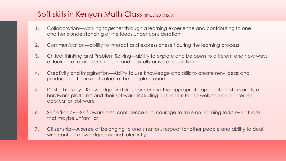### Soft skills in Kenyan Math Class (KICD 2017 p. 9)

- 1. Collaboration––working together through a learning experience and contributing to one another's understanding of the ideas under consideration
- 2. Communication—ability to interact and express oneself during the learning process
- 3. Critical thinking and Problem Solving––ability to explore and be open to different and new ways of looking at a problem, reason and logically arrive at a solution
- 4. Creativity and Imagination––Ability to use knowledge and skills to create new ideas and products that can add value to the people around.
- 5. Digital Literacy––Knowledge and skills concerning the appropriate application of a variety of hardware platforms and their software including but not limited to web search or internet application software
- 6. Self efficacy––Self-awareness, confidence and courage to take on learning tasks even those that maybe unfamiliar.
- 7. Citizenship––A sense of belonging to one's nation, respect for other people and ability to deal with conflict knowledgeably and tolerantly.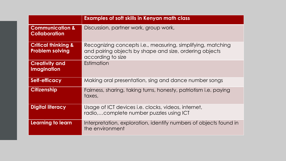|                                                          | <b>Examples of soft skills in Kenyan math class</b>                                                                                         |
|----------------------------------------------------------|---------------------------------------------------------------------------------------------------------------------------------------------|
| <b>Communication &amp;</b><br><b>Collaboration</b>       | Discussion, partner work, group work,                                                                                                       |
| <b>Critical thinking &amp;</b><br><b>Problem solving</b> | Recognizing concepts i.e., measuring, simplifying, matching<br>and pairing objects by shape and size, ordering objects<br>according to size |
| <b>Creativity and</b><br><b>Imagination</b>              | Estimation                                                                                                                                  |
| Self-efficacy                                            | Making oral presentation, sing and dance number songs                                                                                       |
| <b>Citizenship</b>                                       | Fairness, sharing, taking turns, honesty, patriotism i.e. paying<br>taxes,                                                                  |
| <b>Digital literacy</b>                                  | Usage of ICT devices i.e. clocks, videos, internet,<br>radio,complete number puzzles using ICT                                              |
| Learning to learn                                        | Interpretation, exploration, identify numbers of objects found in<br>the environment                                                        |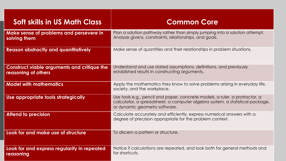| <b>Soft skills in US Math Class</b>                                       | <b>Common Core</b>                                                                                                                                                                           |
|---------------------------------------------------------------------------|----------------------------------------------------------------------------------------------------------------------------------------------------------------------------------------------|
| Make sense of problems and persevere in<br>solving them                   | Plan a solution pathway rather than simply jumping into a solution attempt.<br>Analyze givens, constraints, relationships, and goals.                                                        |
| <b>Reason abstractly and quantitatively</b>                               | Make sense of quantities and their relationships in problem situations.                                                                                                                      |
| <b>Construct viable arguments and critique the</b><br>reasoning of others | Understand and use stated assumptions, definitions, and previously<br>established results in constructing arguments.                                                                         |
| <b>Model with mathematics</b>                                             | Apply the mathematics they know to solve problems arising in everyday life,<br>society, and the workplace.                                                                                   |
| Use appropriate tools strategically                                       | Use tools e.g., pencil and paper, concrete models, a ruler, a protractor, a<br>calculator, a spreadsheet, a computer algebra system, a statistical package,<br>or dynamic geometry software. |
| <b>Attend to precision</b>                                                | Calculate accurately and efficiently, express numerical answers with a<br>degree of precision appropriate for the problem context.                                                           |
| Look for and make use of structure                                        | To discern a pattern or structure.                                                                                                                                                           |
| Look for and express regularity in repeated<br>reasoning                  | Notice if calculations are repeated, and look both for general methods and<br>for shortcuts.                                                                                                 |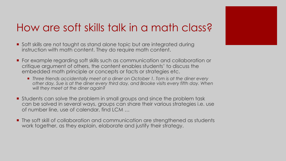### How are soft skills talk in a math class?

- Soft skills are not taught as stand alone topic but are integrated during instruction with math content. They do require math content.
- ¡ For example regarding soft skills such as communication and collaboration or critique argument of others, the content enables students' to discuss the embedded math principle or concepts or facts or strategies etc.
	- ¡ *Three friends accidentally meet at a diner on October 1. Tom is at the diner every other day, Sue is at the diner every third day, and Brooke visits every fifth day. When will they meet at the diner again?*
- **•** Students can solve the problem in small groups and since the problem task can be solved in several ways, groups can share their various strategies i.e. use of number line, use of calendar, find LCM …
- ¡ The soft skill of collaboration and communication are strengthened as students work together, as they explain, elaborate and justify their strategy.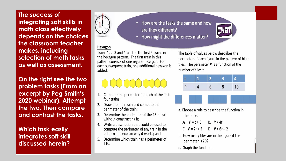**The success of integrating soft skills in math class effectively depends on the choices the classroom teacher makes, including selection of math tasks as well as assessment.**

**On the right see the two problem tasks (From an excerpt by Peg Smith's 2020 webinar). Attempt the two. Then compare and contrast the tasks.**

**Which task easily integrates soft skill discussed herein?**



- How are the tasks the same and how  $\bullet$ are they different?
- How might the differences matter?

### Hexagon

Trains 1, 2, 3 and 4 are the the first 4 trains in the hexagon pattern. The first train in this pattern consists of one regular hexagon. For each subsequent train, one additional hexagon is added.

- Compute the perimeter for each of the first  $\mathbf{1}$ . four trains:
- Draw the fifth train and compute the 2. perimeter of the train;
- Determine the perimeter of the 25th train without constructing it;
- 4. Write a description that could be used to compute the perimeter of any train in the pattern and explain why it works; and
- Determine which train has a perimeter of 110.

The table of values below describes the perimeter of each figure in the pattern of blue tiles. The perimeter  $P$  is a function of the number of tiles t.



- a. Choose a rule to describe the function in the table.
	- A.  $P = t + 3$ B.  $P = 4t$
	- C.  $P = 2t + 2$ D.  $P = 6t - 2$
- b. How many tiles are in the figure if the perimeter is 20?
- c. Graph the function.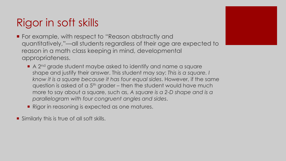# Rigor in soft skills

- For example, with respect to "Reason abstractly and quantitatively,"—all students regardless of their age are expected to reason in a math class keeping in mind, developmental appropriateness.
	- A 2<sup>nd</sup> grade student maybe asked to identify and name a square shape and justify their answer. This student may say: *This is a square. I know it is a square because it has four equal sides*. However, if the same question is asked of a  $5<sup>th</sup>$  grader – then the student would have much more to say about a square, such as, *A square is a 2-D shape and is a parallelogram with four congruent angles and sides*.
	- **Rigor in reasoning is expected as one matures.**
- Similarly this is true of all soft skills.

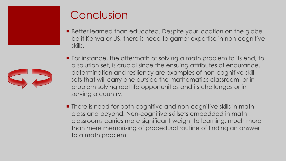

## Conclusion

- Better learned than educated. Despite your location on the globe, be it Kenya or US, there is need to garner expertise in non-cognitive skills.
- For instance, the aftermath of solving a math problem to its end, to a solution set, is crucial since the ensuing attributes of endurance, determination and resiliency are examples of non-cognitive skill sets that will carry one outside the mathematics classroom, or in problem solving real life opportunities and its challenges or in serving a country.
- **There is need for both cognitive and non-cognitive skills in math** class and beyond. Non-cognitive skillsets embedded in math classrooms carries more significant weight to learning, much more than mere memorizing of procedural routine of finding an answer to a math problem.